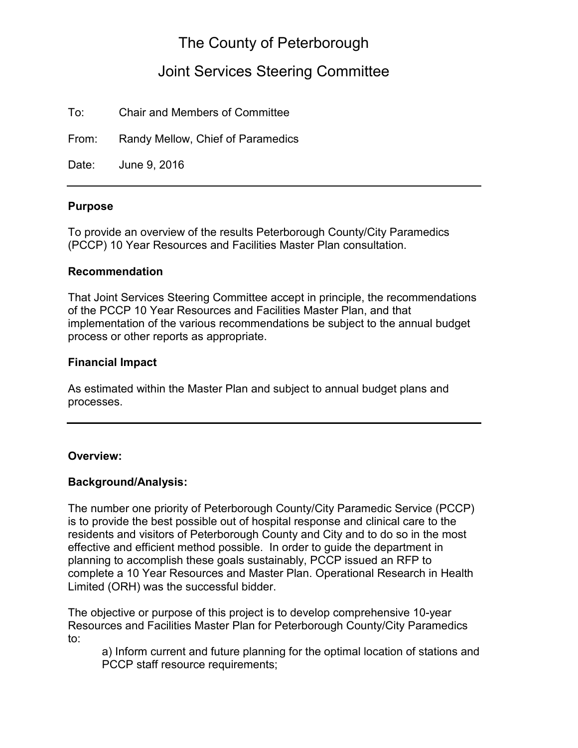# The County of Peterborough

## Joint Services Steering Committee

To: Chair and Members of Committee

From: Randy Mellow, Chief of Paramedics

Date: June 9, 2016

#### **Purpose**

To provide an overview of the results Peterborough County/City Paramedics (PCCP) 10 Year Resources and Facilities Master Plan consultation.

### **Recommendation**

That Joint Services Steering Committee accept in principle, the recommendations of the PCCP 10 Year Resources and Facilities Master Plan, and that implementation of the various recommendations be subject to the annual budget process or other reports as appropriate.

### **Financial Impact**

As estimated within the Master Plan and subject to annual budget plans and processes.

#### **Overview:**

### **Background/Analysis:**

The number one priority of Peterborough County/City Paramedic Service (PCCP) is to provide the best possible out of hospital response and clinical care to the residents and visitors of Peterborough County and City and to do so in the most effective and efficient method possible. In order to guide the department in planning to accomplish these goals sustainably, PCCP issued an RFP to complete a 10 Year Resources and Master Plan. Operational Research in Health Limited (ORH) was the successful bidder.

The objective or purpose of this project is to develop comprehensive 10-year Resources and Facilities Master Plan for Peterborough County/City Paramedics to:

a) Inform current and future planning for the optimal location of stations and PCCP staff resource requirements;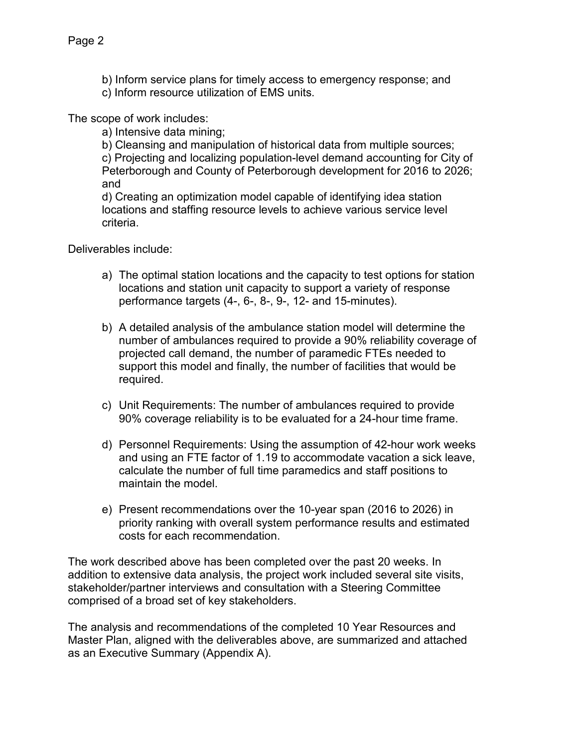b) Inform service plans for timely access to emergency response; and c) Inform resource utilization of EMS units.

The scope of work includes:

a) Intensive data mining;

b) Cleansing and manipulation of historical data from multiple sources;

c) Projecting and localizing population-level demand accounting for City of Peterborough and County of Peterborough development for 2016 to 2026; and

d) Creating an optimization model capable of identifying idea station locations and staffing resource levels to achieve various service level criteria.

Deliverables include:

- a) The optimal station locations and the capacity to test options for station locations and station unit capacity to support a variety of response performance targets (4-, 6-, 8-, 9-, 12- and 15-minutes).
- b) A detailed analysis of the ambulance station model will determine the number of ambulances required to provide a 90% reliability coverage of projected call demand, the number of paramedic FTEs needed to support this model and finally, the number of facilities that would be required.
- c) Unit Requirements: The number of ambulances required to provide 90% coverage reliability is to be evaluated for a 24-hour time frame.
- d) Personnel Requirements: Using the assumption of 42-hour work weeks and using an FTE factor of 1.19 to accommodate vacation a sick leave, calculate the number of full time paramedics and staff positions to maintain the model.
- e) Present recommendations over the 10-year span (2016 to 2026) in priority ranking with overall system performance results and estimated costs for each recommendation.

The work described above has been completed over the past 20 weeks. In addition to extensive data analysis, the project work included several site visits, stakeholder/partner interviews and consultation with a Steering Committee comprised of a broad set of key stakeholders.

The analysis and recommendations of the completed 10 Year Resources and Master Plan, aligned with the deliverables above, are summarized and attached as an Executive Summary (Appendix A).